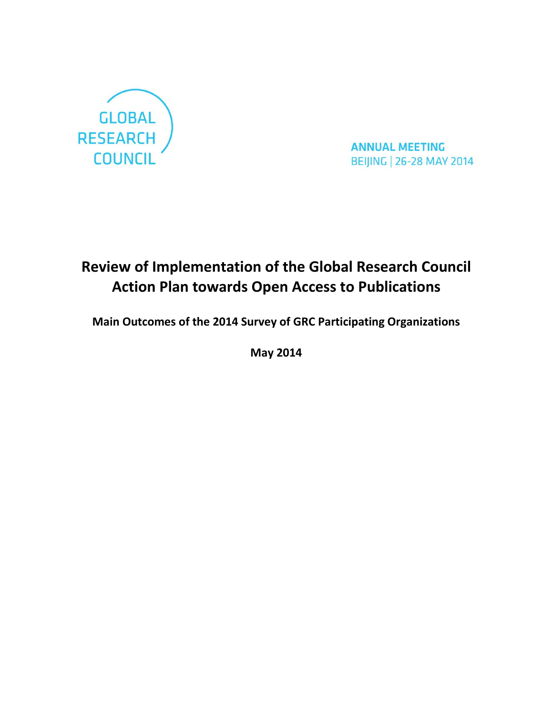

**ANNUAL MEETING BEIJING | 26-28 MAY 2014** 

# **Review of Implementation of the Global Research Council Action Plan towards Open Access to Publications**

**Main Outcomes of the 2014 Survey of GRC Participating Organizations**

**May 2014**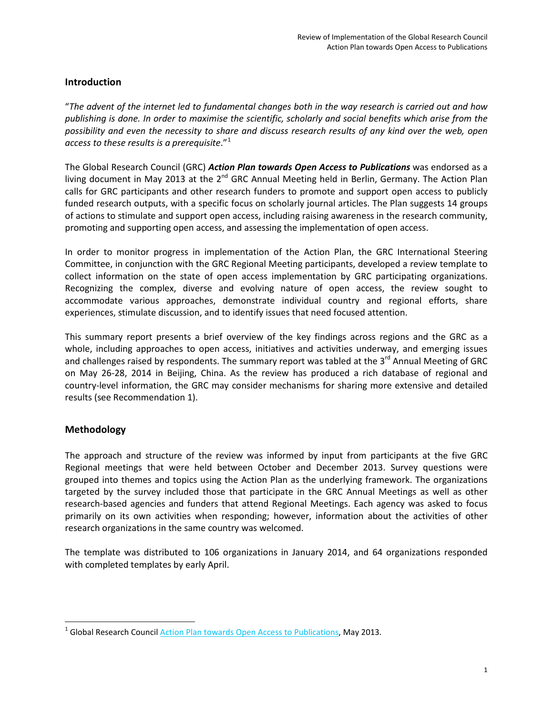## **Introduction**

"*The advent of the internet led to fundamental changes both in the way research is carried out and how publishing is done. In order to maximise the scientific, scholarly and social benefits which arise from the possibility and even the necessity to share and discuss research results of any kind over the web, open*  access to these results is a prerequisite."<sup>[1](#page-1-0)</sup>

The Global Research Council (GRC) *[Action Plan towards Open Access to Publications](http://www.google.ca/url?sa=t&rct=j&q=&esrc=s&frm=1&source=web&cd=3&cad=rja&uact=8&ved=0CDYQFjAC&url=http%3A%2F%2Fwww.globalresearchcouncil.org%2Fsites%2Fdefault%2Ffiles%2Fpdfs%2Fgrc_action_plan_open_access%2520FINAL.pdf&ei=XLR4U7LZNYuUyAT2-oGgBw&usg=AFQjCNG0BazzdO2NFmjXgGx37nm_rp44SA)* was endorsed as a living document in May 2013 at the  $2^{nd}$  GRC Annual Meeting held in Berlin, Germany. The Action Plan calls for GRC participants and other research funders to promote and support open access to publicly funded research outputs, with a specific focus on scholarly journal articles. The Plan suggests 14 groups of actions to stimulate and support open access, including raising awareness in the research community, promoting and supporting open access, and assessing the implementation of open access.

In order to monitor progress in implementation of the Action Plan, the GRC International Steering Committee, in conjunction with the GRC Regional Meeting participants, developed a review template to collect information on the state of open access implementation by GRC participating organizations. Recognizing the complex, diverse and evolving nature of open access, the review sought to accommodate various approaches, demonstrate individual country and regional efforts, share experiences, stimulate discussion, and to identify issues that need focused attention.

This summary report presents a brief overview of the key findings across regions and the GRC as a whole, including approaches to open access, initiatives and activities underway, and emerging issues and challenges raised by respondents. The summary report was tabled at the 3<sup>rd</sup> Annual Meeting of GRC on May 26-28, 2014 in Beijing, China. As the review has produced a rich database of regional and country-level information, the GRC may consider mechanisms for sharing more extensive and detailed results (see Recommendation 1).

## **Methodology**

The approach and structure of the review was informed by input from participants at the five GRC Regional meetings that were held between October and December 2013. Survey questions were grouped into themes and topics using the Action Plan as the underlying framework. The organizations targeted by the survey included those that participate in the GRC Annual Meetings as well as other research-based agencies and funders that attend Regional Meetings. Each agency was asked to focus primarily on its own activities when responding; however, information about the activities of other research organizations in the same country was welcomed.

The template was distributed to 106 organizations in January 2014, and 64 organizations responded with completed templates by early April.

<span id="page-1-0"></span><sup>&</sup>lt;sup>1</sup> Global Research Counci[l Action Plan towards Open Access to Publications,](http://www.globalresearchcouncil.org/sites/default/files/pdfs/grc_action_plan_open_access%20FINAL.pdf) May 2013.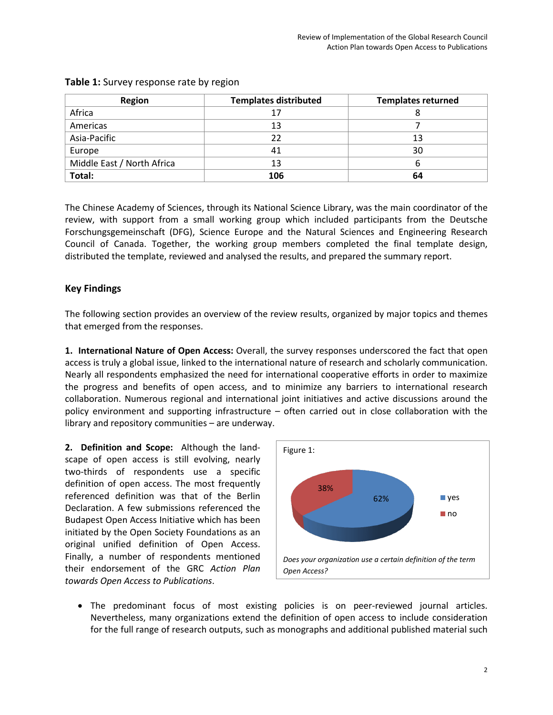| <b>Region</b>              | <b>Templates distributed</b> | <b>Templates returned</b> |
|----------------------------|------------------------------|---------------------------|
| Africa                     |                              |                           |
| Americas                   | 13                           |                           |
| Asia-Pacific               | 22                           | 13                        |
| Europe                     | 41                           | 30                        |
| Middle East / North Africa | 13                           | n                         |
| Total:                     | 106                          | 64                        |

## **Table 1:** Survey response rate by region

The Chinese Academy of Sciences, through its National Science Library, was the main coordinator of the review, with support from a small working group which included participants from the Deutsche Forschungsgemeinschaft (DFG), Science Europe and the Natural Sciences and Engineering Research Council of Canada. Together, the working group members completed the final template design, distributed the template, reviewed and analysed the results, and prepared the summary report.

## **Key Findings**

The following section provides an overview of the review results, organized by major topics and themes that emerged from the responses.

**1. International Nature of Open Access:** Overall, the survey responses underscored the fact that open access is truly a global issue, linked to the international nature of research and scholarly communication. Nearly all respondents emphasized the need for international cooperative efforts in order to maximize the progress and benefits of open access, and to minimize any barriers to international research collaboration. Numerous regional and international joint initiatives and active discussions around the policy environment and supporting infrastructure – often carried out in close collaboration with the library and repository communities – are underway.

**2. Definition and Scope:** Although the landscape of open access is still evolving, nearly two-thirds of respondents use a specific definition of open access. The most frequently referenced definition was that of the Berlin Declaration. A few submissions referenced the Budapest Open Access Initiative which has been initiated by the Open Society Foundations as an original unified definition of Open Access. Finally, a number of respondents mentioned their endorsement of the GRC *Action Plan towards Open Access to Publications*.



• The predominant focus of most existing policies is on peer-reviewed journal articles. Nevertheless, many organizations extend the definition of open access to include consideration for the full range of research outputs, such as monographs and additional published material such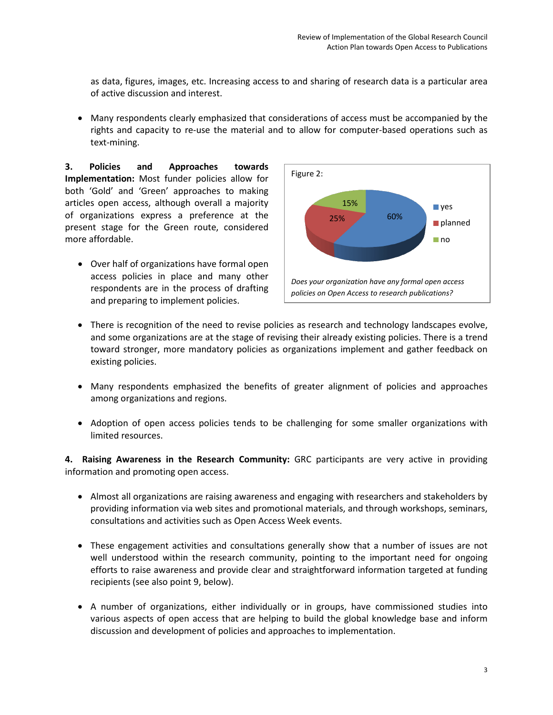as data, figures, images, etc. Increasing access to and sharing of research data is a particular area of active discussion and interest.

• Many respondents clearly emphasized that considerations of access must be accompanied by the rights and capacity to re-use the material and to allow for computer-based operations such as text-mining.

**3. Policies and Approaches towards Implementation:** Most funder policies allow for both 'Gold' and 'Green' approaches to making articles open access, although overall a majority of organizations express a preference at the present stage for the Green route, considered more affordable.

• Over half of organizations have formal open access policies in place and many other respondents are in the process of drafting and preparing to implement policies.



- There is recognition of the need to revise policies as research and technology landscapes evolve, and some organizations are at the stage of revising their already existing policies. There is a trend toward stronger, more mandatory policies as organizations implement and gather feedback on existing policies.
- Many respondents emphasized the benefits of greater alignment of policies and approaches among organizations and regions.
- Adoption of open access policies tends to be challenging for some smaller organizations with limited resources.

**4. Raising Awareness in the Research Community:** GRC participants are very active in providing information and promoting open access.

- Almost all organizations are raising awareness and engaging with researchers and stakeholders by providing information via web sites and promotional materials, and through workshops, seminars, consultations and activities such as Open Access Week events.
- These engagement activities and consultations generally show that a number of issues are not well understood within the research community, pointing to the important need for ongoing efforts to raise awareness and provide clear and straightforward information targeted at funding recipients (see also point 9, below).
- A number of organizations, either individually or in groups, have commissioned studies into various aspects of open access that are helping to build the global knowledge base and inform discussion and development of policies and approaches to implementation.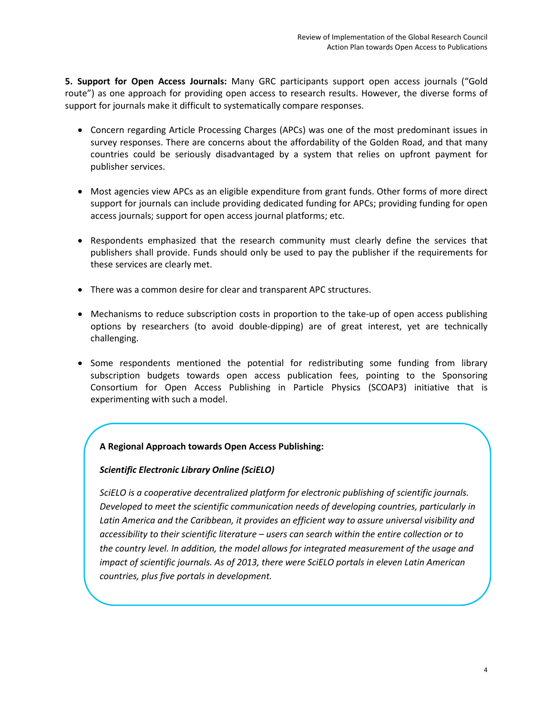**5. Support for Open Access Journals:** Many GRC participants support open access journals ("Gold route") as one approach for providing open access to research results. However, the diverse forms of support for journals make it difficult to systematically compare responses.

- Concern regarding Article Processing Charges (APCs) was one of the most predominant issues in survey responses. There are concerns about the affordability of the Golden Road, and that many countries could be seriously disadvantaged by a system that relies on upfront payment for publisher services.
- Most agencies view APCs as an eligible expenditure from grant funds. Other forms of more direct support for journals can include providing dedicated funding for APCs; providing funding for open access journals; support for open access journal platforms; etc.
- Respondents emphasized that the research community must clearly define the services that publishers shall provide. Funds should only be used to pay the publisher if the requirements for these services are clearly met.
- There was a common desire for clear and transparent APC structures.
- Mechanisms to reduce subscription costs in proportion to the take-up of open access publishing options by researchers (to avoid double-dipping) are of great interest, yet are technically challenging.
- Some respondents mentioned the potential for redistributing some funding from library subscription budgets towards open access publication fees, pointing to the [Sponsoring](http://scoap3.org/)  [Consortium for Open Access Publishing in Particle Physics](http://scoap3.org/) (SCOAP3) initiative that is experimenting with such a model.

#### **A Regional Approach towards Open Access Publishing:**

#### *[Scientific Electronic Library Online \(SciELO\)](http://www.scielo.org/php/index.php?lang=en)*

*SciELO is a cooperative decentralized platform for electronic publishing of scientific journals. Developed to meet the scientific communication needs of developing countries, particularly in*  Latin America and the Caribbean, it provides an efficient way to assure universal visibility and *accessibility to their scientific literature – users can search within the entire collection or to the country level. In addition, the model allows for integrated measurement of the usage and impact of scientific journals. As of 2013, there were SciELO portals in eleven Latin American countries, plus five portals in development.*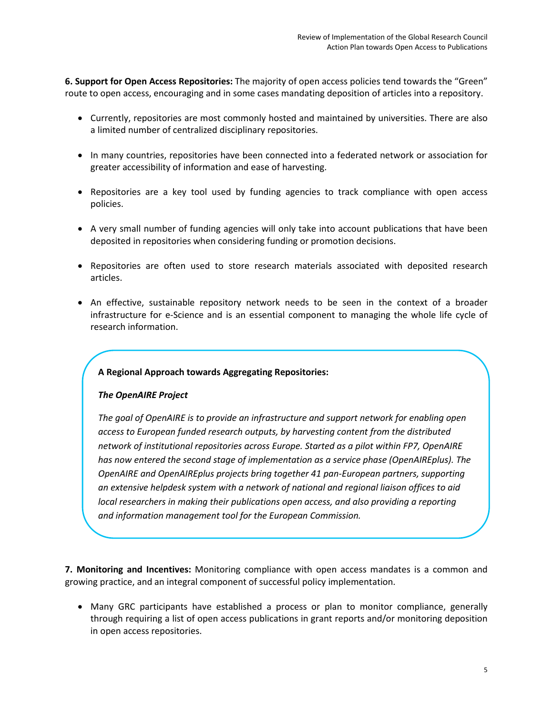**6. Support for Open Access Repositories:** The majority of open access policies tend towards the "Green" route to open access, encouraging and in some cases mandating deposition of articles into a repository.

- Currently, repositories are most commonly hosted and maintained by universities. There are also a limited number of centralized disciplinary repositories.
- In many countries, repositories have been connected into a federated network or association for greater accessibility of information and ease of harvesting.
- Repositories are a key tool used by funding agencies to track compliance with open access policies.
- A very small number of funding agencies will only take into account publications that have been deposited in repositories when considering funding or promotion decisions.
- Repositories are often used to store research materials associated with deposited research articles.
- An effective, sustainable repository network needs to be seen in the context of a broader infrastructure for e-Science and is an essential component to managing the whole life cycle of research information.

#### **A Regional Approach towards Aggregating Repositories:**

#### *[The OpenAIRE Project](https://www.openaire.eu/)*

*The goal of OpenAIRE is to provide an infrastructure and support network for enabling open access to European funded research outputs, by harvesting content from the distributed network of institutional repositories across Europe. Started as a pilot within FP7, OpenAIRE has now entered the second stage of implementation as a service phase (OpenAIREplus). The OpenAIRE and OpenAIREplus projects bring together 41 pan-European partners, supporting an extensive helpdesk system with a network of national and regional liaison offices to aid local researchers in making their publications open access, and also providing a reporting and information management tool for the European Commission.*

**7. Monitoring and Incentives:** Monitoring compliance with open access mandates is a common and growing practice, and an integral component of successful policy implementation.

• Many GRC participants have established a process or plan to monitor compliance, generally through requiring a list of open access publications in grant reports and/or monitoring deposition in open access repositories.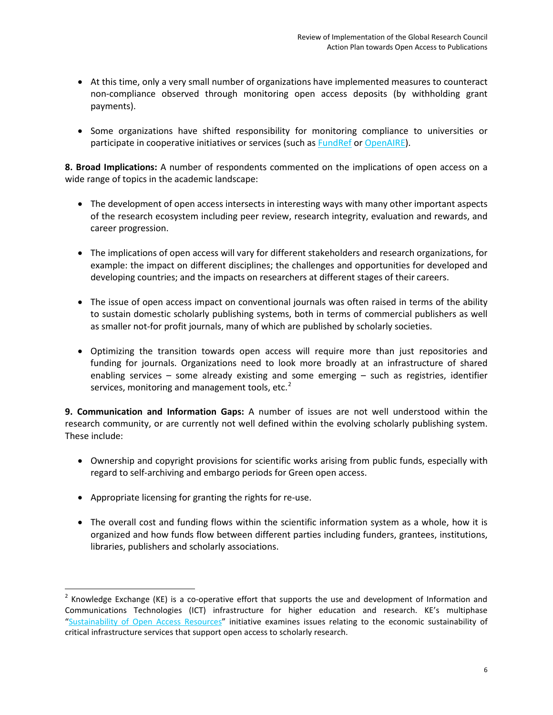- At this time, only a very small number of organizations have implemented measures to counteract non-compliance observed through monitoring open access deposits (by withholding grant payments).
- Some organizations have shifted responsibility for monitoring compliance to universities or participate in cooperative initiatives or services (such as **FundRef** or [OpenAIRE\)](https://www.openaire.eu/).

**8. Broad Implications:** A number of respondents commented on the implications of open access on a wide range of topics in the academic landscape:

- The development of open access intersects in interesting ways with many other important aspects of the research ecosystem including peer review, research integrity, evaluation and rewards, and career progression.
- The implications of open access will vary for different stakeholders and research organizations, for example: the impact on different disciplines; the challenges and opportunities for developed and developing countries; and the impacts on researchers at different stages of their careers.
- The issue of open access impact on conventional journals was often raised in terms of the ability to sustain domestic scholarly publishing systems, both in terms of commercial publishers as well as smaller not-for profit journals, many of which are published by scholarly societies.
- Optimizing the transition towards open access will require more than just repositories and funding for journals. Organizations need to look more broadly at an infrastructure of shared enabling services – some already existing and some emerging – such as registries, identifier services, monitoring and management tools, etc.<sup>[2](#page-6-0)</sup>

**9. Communication and Information Gaps:** A number of issues are not well understood within the research community, or are currently not well defined within the evolving scholarly publishing system. These include:

- Ownership and copyright provisions for scientific works arising from public funds, especially with regard to self-archiving and embargo periods for Green open access.
- Appropriate licensing for granting the rights for re-use.
- The overall cost and funding flows within the scientific information system as a whole, how it is organized and how funds flow between different parties including funders, grantees, institutions, libraries, publishers and scholarly associations.

<span id="page-6-0"></span> $2$  Knowledge Exchange (KE) is a co-operative effort that supports the use and development of Information and Communications Technologies (ICT) infrastructure for higher education and research. KE's multiphase ["Sustainability of Open Access Resources"](http://www.knowledge-exchange.info/Default.aspx?ID=535) initiative examines issues relating to the economic sustainability of critical infrastructure services that support open access to scholarly research.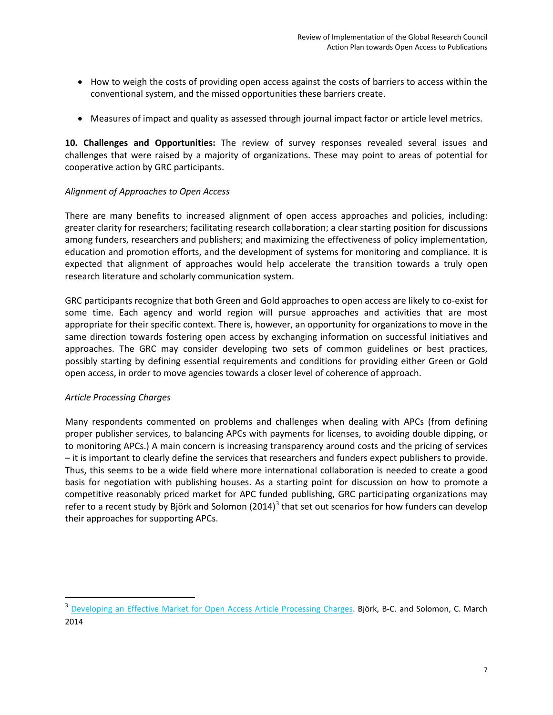- How to weigh the costs of providing open access against the costs of barriers to access within the conventional system, and the missed opportunities these barriers create.
- Measures of impact and quality as assessed through journal impact factor or article level metrics.

**10. Challenges and Opportunities:** The review of survey responses revealed several issues and challenges that were raised by a majority of organizations. These may point to areas of potential for cooperative action by GRC participants.

## *Alignment of Approaches to Open Access*

There are many benefits to increased alignment of open access approaches and policies, including: greater clarity for researchers; facilitating research collaboration; a clear starting position for discussions among funders, researchers and publishers; and maximizing the effectiveness of policy implementation, education and promotion efforts, and the development of systems for monitoring and compliance. It is expected that alignment of approaches would help accelerate the transition towards a truly open research literature and scholarly communication system.

GRC participants recognize that both Green and Gold approaches to open access are likely to co-exist for some time. Each agency and world region will pursue approaches and activities that are most appropriate for their specific context. There is, however, an opportunity for organizations to move in the same direction towards fostering open access by exchanging information on successful initiatives and approaches. The GRC may consider developing two sets of common guidelines or best practices, possibly starting by defining essential requirements and conditions for providing either Green or Gold open access, in order to move agencies towards a closer level of coherence of approach.

## *Article Processing Charges*

Many respondents commented on problems and challenges when dealing with APCs (from defining proper publisher services, to balancing APCs with payments for licenses, to avoiding double dipping, or to monitoring APCs.) A main concern is increasing transparency around costs and the pricing of services – it is important to clearly define the services that researchers and funders expect publishers to provide. Thus, this seems to be a wide field where more international collaboration is needed to create a good basis for negotiation with publishing houses. As a starting point for discussion on how to promote a competitive reasonably priced market for APC funded publishing, GRC participating organizations may refer to a recent study by Björk and Solomon (2014)<sup>[3](#page-7-0)</sup> that set out scenarios for how funders can develop their approaches for supporting APCs.

<span id="page-7-0"></span><sup>&</sup>lt;sup>3</sup> [Developing an Effective Market for Open Access Article Processing Charges.](http://www.wellcome.ac.uk/stellent/groups/corporatesite/@policy_communications/documents/web_document/wtp055910.pdf) Björk, B-C. and Solomon, C. March 2014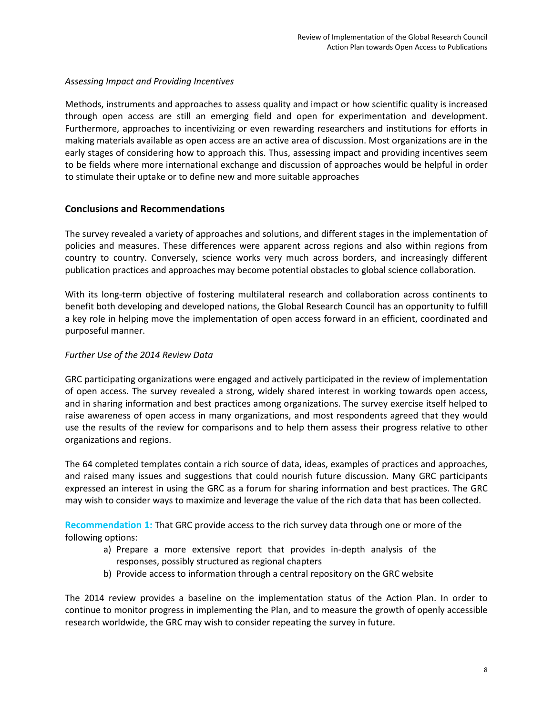### *Assessing Impact and Providing Incentives*

Methods, instruments and approaches to assess quality and impact or how scientific quality is increased through open access are still an emerging field and open for experimentation and development. Furthermore, approaches to incentivizing or even rewarding researchers and institutions for efforts in making materials available as open access are an active area of discussion. Most organizations are in the early stages of considering how to approach this. Thus, assessing impact and providing incentives seem to be fields where more international exchange and discussion of approaches would be helpful in order to stimulate their uptake or to define new and more suitable approaches

## **Conclusions and Recommendations**

The survey revealed a variety of approaches and solutions, and different stages in the implementation of policies and measures. These differences were apparent across regions and also within regions from country to country. Conversely, science works very much across borders, and increasingly different publication practices and approaches may become potential obstacles to global science collaboration.

With its long-term objective of fostering multilateral research and collaboration across continents to benefit both developing and developed nations, the Global Research Council has an opportunity to fulfill a key role in helping move the implementation of open access forward in an efficient, coordinated and purposeful manner.

## *Further Use of the 2014 Review Data*

GRC participating organizations were engaged and actively participated in the review of implementation of open access. The survey revealed a strong, widely shared interest in working towards open access, and in sharing information and best practices among organizations. The survey exercise itself helped to raise awareness of open access in many organizations, and most respondents agreed that they would use the results of the review for comparisons and to help them assess their progress relative to other organizations and regions.

The 64 completed templates contain a rich source of data, ideas, examples of practices and approaches, and raised many issues and suggestions that could nourish future discussion. Many GRC participants expressed an interest in using the GRC as a forum for sharing information and best practices. The GRC may wish to consider ways to maximize and leverage the value of the rich data that has been collected.

**Recommendation 1:** That GRC provide access to the rich survey data through one or more of the following options:

- a) Prepare a more extensive report that provides in-depth analysis of the responses, possibly structured as regional chapters
- b) Provide access to information through a central repository on the GRC website

The 2014 review provides a baseline on the implementation status of the Action Plan. In order to continue to monitor progress in implementing the Plan, and to measure the growth of openly accessible research worldwide, the GRC may wish to consider repeating the survey in future.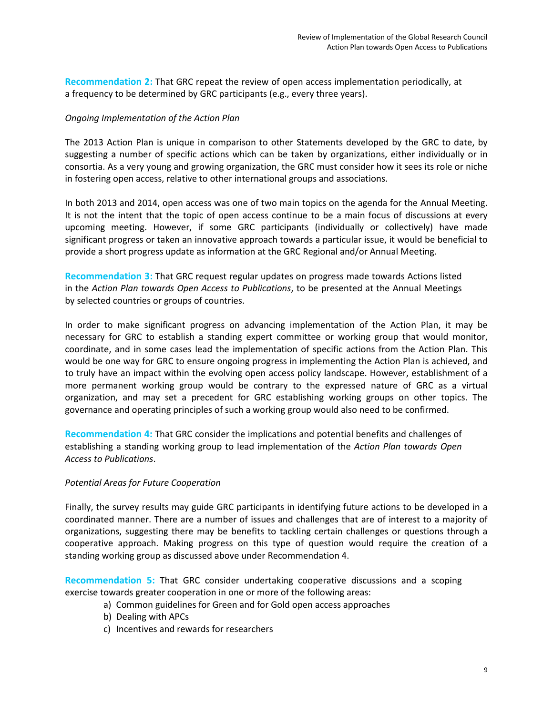**Recommendation 2:** That GRC repeat the review of open access implementation periodically, at a frequency to be determined by GRC participants (e.g., every three years).

#### *Ongoing Implementation of the Action Plan*

The 2013 Action Plan is unique in comparison to other Statements developed by the GRC to date, by suggesting a number of specific actions which can be taken by organizations, either individually or in consortia. As a very young and growing organization, the GRC must consider how it sees its role or niche in fostering open access, relative to other international groups and associations.

In both 2013 and 2014, open access was one of two main topics on the agenda for the Annual Meeting. It is not the intent that the topic of open access continue to be a main focus of discussions at every upcoming meeting. However, if some GRC participants (individually or collectively) have made significant progress or taken an innovative approach towards a particular issue, it would be beneficial to provide a short progress update as information at the GRC Regional and/or Annual Meeting.

**Recommendation 3:** That GRC request regular updates on progress made towards Actions listed in the *Action Plan towards Open Access to Publications*, to be presented at the Annual Meetings by selected countries or groups of countries.

In order to make significant progress on advancing implementation of the Action Plan, it may be necessary for GRC to establish a standing expert committee or working group that would monitor, coordinate, and in some cases lead the implementation of specific actions from the Action Plan. This would be one way for GRC to ensure ongoing progress in implementing the Action Plan is achieved, and to truly have an impact within the evolving open access policy landscape. However, establishment of a more permanent working group would be contrary to the expressed nature of GRC as a virtual organization, and may set a precedent for GRC establishing working groups on other topics. The governance and operating principles of such a working group would also need to be confirmed.

**Recommendation 4:** That GRC consider the implications and potential benefits and challenges of establishing a standing working group to lead implementation of the *Action Plan towards Open Access to Publications*.

#### *Potential Areas for Future Cooperation*

Finally, the survey results may guide GRC participants in identifying future actions to be developed in a coordinated manner. There are a number of issues and challenges that are of interest to a majority of organizations, suggesting there may be benefits to tackling certain challenges or questions through a cooperative approach. Making progress on this type of question would require the creation of a standing working group as discussed above under Recommendation 4.

**Recommendation 5:** That GRC consider undertaking cooperative discussions and a scoping exercise towards greater cooperation in one or more of the following areas:

- a) Common guidelines for Green and for Gold open access approaches
- b) Dealing with APCs
- c) Incentives and rewards for researchers